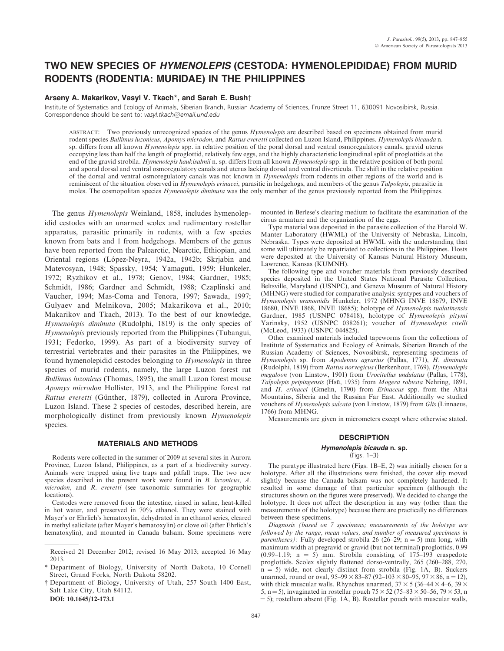# TWO NEW SPECIES OF HYMENOLEPIS (CESTODA: HYMENOLEPIDIDAE) FROM MURID RODENTS (RODENTIA: MURIDAE) IN THE PHILIPPINES

## Arseny A. Makarikov, Vasyl V. Tkach\*, and Sarah E. Bush†

Institute of Systematics and Ecology of Animals, Siberian Branch, Russian Academy of Sciences, Frunze Street 11, 630091 Novosibirsk, Russia. Correspondence should be sent to: vasyl.tkach@email.und.edu

ABSTRACT: Two previously unrecognized species of the genus Hymenolepis are described based on specimens obtained from murid rodent species Bullimus luzonicus, Apomys microdon, and Rattus everetti collected on Luzon Island, Philippines. Hymenolepis bicauda n. sp. differs from all known *Hymenolepis* spp. in relative position of the poral dorsal and ventral osmoregulatory canals, gravid uterus occupying less than half the length of proglottid, relatively few eggs, and the highly characteristic longitudinal split of proglottids at the end of the gravid strobila. Hymenolepis haukisalmii n. sp. differs from all known Hymenolepis spp. in the relative position of both poral and aporal dorsal and ventral osmoregulatory canals and uterus lacking dorsal and ventral diverticula. The shift in the relative position of the dorsal and ventral osmoregulatory canals was not known in *Hymenolepis* from rodents in other regions of the world and is reminiscent of the situation observed in Hymenolepis erinacei, parasitic in hedgehogs, and members of the genus Talpolepis, parasitic in moles. The cosmopolitan species Hymenolepis diminuta was the only member of the genus previously reported from the Philippines.

The genus Hymenolepis Weinland, 1858, includes hymenolepidid cestodes with an unarmed scolex and rudimentary rostellar apparatus, parasitic primarily in rodents, with a few species known from bats and 1 from hedgehogs. Members of the genus have been reported from the Palearctic, Nearctic, Ethiopian, and Oriental regions (López-Neyra, 1942a, 1942b; Skrjabin and Matevosyan, 1948; Spassky, 1954; Yamaguti, 1959; Hunkeler, 1972; Ryzhikov et al., 1978; Genov, 1984; Gardner, 1985; Schmidt, 1986; Gardner and Schmidt, 1988; Czaplinski and Vaucher, 1994; Mas-Coma and Tenora, 1997; Sawada, 1997; Gulyaev and Melnikova, 2005; Makarikova et al., 2010; Makarikov and Tkach, 2013). To the best of our knowledge, Hymenolepis diminuta (Rudolphi, 1819) is the only species of Hymenolepis previously reported from the Philippines (Tubangui, 1931; Fedorko, 1999). As part of a biodiversity survey of terrestrial vertebrates and their parasites in the Philippines, we found hymenolepidid cestodes belonging to Hymenolepis in three species of murid rodents, namely, the large Luzon forest rat Bullimus luzonicus (Thomas, 1895), the small Luzon forest mouse Apomys microdon Hollister, 1913, and the Philippine forest rat Rattus everetti (Günther, 1879), collected in Aurora Province, Luzon Island. These 2 species of cestodes, described herein, are morphologically distinct from previously known Hymenolepis species.

## MATERIALS AND METHODS

Rodents were collected in the summer of 2009 at several sites in Aurora Province, Luzon Island, Philippines, as a part of a biodiversity survey. Animals were trapped using live traps and pitfall traps. The two new species described in the present work were found in B. luzonicus, A. microdon, and R. everetti (see taxonomic summaries for geographic locations).

Cestodes were removed from the intestine, rinsed in saline, heat-killed in hot water, and preserved in 70% ethanol. They were stained with Mayer's or Ehrlich's hematoxylin, dehydrated in an ethanol series, cleared in methyl salicilate (after Mayer's hematoxylin) or clove oil (after Ehrlich's hematoxylin), and mounted in Canada balsam. Some specimens were

DOI: 10.1645/12-173.1

mounted in Berlese's clearing medium to facilitate the examination of the cirrus armature and the organization of the eggs.

Type material was deposited in the parasite collection of the Harold W. Manter Laboratory (HWML) of the University of Nebraska, Lincoln, Nebraska. Types were deposited at HWML with the understanding that some will ultimately be repatriated to collections in the Philippines. Hosts were deposited at the University of Kansas Natural History Museum, Lawrence, Kansas (KUMNH).

The following type and voucher materials from previously described species deposited in the United States National Parasite Collection, Beltsville, Maryland (USNPC), and Geneva Museum of Natural History (MHNG) were studied for comparative analysis: syntypes and vouchers of Hymenolepis uranomidis Hunkeler, 1972 (MHNG INVE 18679, INVE 18680, INVE 1868, INVE 18685); holotype of Hymenolepis tualatinensis Gardner, 1985 (USNPC 078418), holotype of Hymenolepis pitymi Yarinsky, 1952 (USNPC 038261); voucher of Hymenolepis citelli (McLeod, 1933) (USNPC 044825).

Other examined materials included tapeworms from the collections of Institute of Systematics and Ecology of Animals, Siberian Branch of the Russian Academy of Sciences, Novosibirsk, representing specimens of Hymenolepis sp. from Apodemus agrarius (Pallas, 1771), H. diminuta (Rudolphi, 1819) from Rattus norvegicus (Berkenhout, 1769), Hymenolepis megaloon (von Linstow, 1901) from Urocitellus undulatus (Pallas, 1778), Talpolepis peipingensis (Hsü, 1935) from Mogera robusta Nehring, 1891, and H. erinacei (Gmelin, 1790) from Erinaceus spp. from the Altai Mountains, Siberia and the Russian Far East. Additionally we studied vouchers of Hymenolepis sulcata (von Linstow, 1879) from Glis (Linnaeus, 1766) from MHNG.

Measurements are given in micrometers except where otherwise stated.

# **DESCRIPTION**

# Hymenolepis bicauda n. sp.

(Figs. 1–3)

The paratype illustrated here (Figs. 1B–E, 2) was initially chosen for a holotype. After all the illustrations were finished, the cover slip moved slightly because the Canada balsam was not completely hardened. It resulted in some damage of that particular specimen (although the structures shown on the figures were preserved). We decided to change the holotype. It does not affect the description in any way (other than the measurements of the holotype) because there are practically no differences between these specimens.

Diagnosis (based on 7 specimens; measurements of the holotype are followed by the range, mean values, and number of measured specimens in *parentheses*): Fully developed strobila 26 (26–29;  $n = 5$ ) mm long, with maximum width at pregravid or gravid (but not terminal) proglottids, 0.99  $(0.99-1.19; n = 5)$  mm. Strobila consisting of 175–193 craspedote proglottids. Scolex slightly flattened dorso-ventrally, 265 (260–288, 270,  $n = 5$ ) wide, not clearly distinct from strobila (Fig. 1A, B). Suckers unarmed, round or oval,  $95-99 \times 83-87 (92-103 \times 80-95, 97 \times 86, n = 12)$ , with thick muscular walls. Rhynchus unarmed,  $37 \times 5$  (36–44  $\times$  4–6, 39  $\times$ 5, n = 5), invaginated in rostellar pouch  $75 \times 52$  (75–83  $\times$  50–56, 79  $\times$  53, n  $=$  5); rostellum absent (Fig. 1A, B). Rostellar pouch with muscular walls,

Received 21 December 2012; revised 16 May 2013; accepted 16 May 2013.

<sup>\*</sup> Department of Biology, University of North Dakota, 10 Cornell Street, Grand Forks, North Dakota 58202.

<sup>†</sup> Department of Biology, University of Utah, 257 South 1400 East, Salt Lake City, Utah 84112.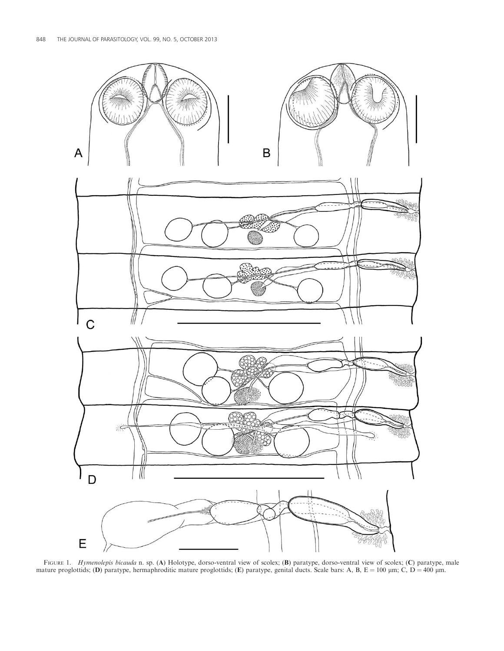

FIGURE 1. Hymenolepis bicauda n. sp. (A) Holotype, dorso-ventral view of scolex; (B) paratype, dorso-ventral view of scolex; (C) paratype, male mature proglottids; (D) paratype, hermaphroditic mature proglottids; (E) paratype, genital ducts. Scale bars: A, B, E = 100  $\mu$ m; C, D = 400  $\mu$ m.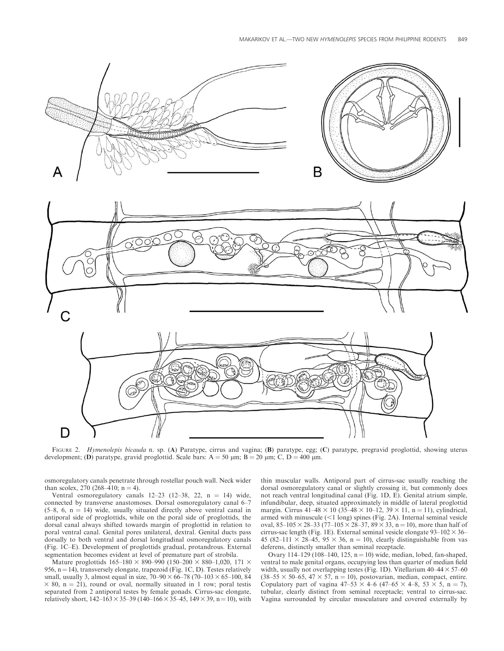



FIGURE 2. Hymenolepis bicauda n. sp. (A) Paratype, cirrus and vagina; (B) paratype, egg; (C) paratype, pregravid proglottid, showing uterus development; (D) paratype, gravid proglottid. Scale bars:  $A = 50 \mu m$ ;  $B = 20 \mu m$ ; C, D = 400  $\mu m$ .

osmoregulatory canals penetrate through rostellar pouch wall. Neck wider than scolex, 270 (268–410;  $n = 4$ ).

Ventral osmoregulatory canals  $12-23$  (12-38, 22, n = 14) wide, connected by transverse anastomoses. Dorsal osmoregulatory canal 6–7  $(5-8, 6, n = 14)$  wide, usually situated directly above ventral canal in antiporal side of proglottids, while on the poral side of proglottids, the dorsal canal always shifted towards margin of proglottid in relation to poral ventral canal. Genital pores unilateral, dextral. Genital ducts pass dorsally to both ventral and dorsal longitudinal osmoregulatory canals (Fig. 1C–E). Development of proglottids gradual, protandrous. External segmentation becomes evident at level of premature part of strobila.

Mature proglottids  $165-180 \times 890-990 (150-200 \times 880-1,020, 171 \times$ 956,  $n = 14$ ), transversely elongate, trapezoid (Fig. 1C, D). Testes relatively small, usually 3, almost equal in size,  $70-90 \times 66-78$  (70-103  $\times$  65-100, 84  $\times$  80, n = 21), round or oval, normally situated in 1 row; poral testis separated from 2 antiporal testes by female gonads. Cirrus-sac elongate, relatively short,  $142-163 \times 35-39$  ( $140-166 \times 35-45$ ,  $149 \times 39$ , n = 10), with thin muscular walls. Antiporal part of cirrus-sac usually reaching the dorsal osmoregulatory canal or slightly crossing it, but commonly does not reach ventral longitudinal canal (Fig. 1D, E). Genital atrium simple, infundibular, deep, situated approximately in middle of lateral proglottid margin. Cirrus  $4\overline{1}$ –48 × 10 (35–48 × 10–12, 39 × 11, n = 11), cylindrical, armed with minuscule  $($  1 long) spines (Fig. 2A). Internal seminal vesicle oval, 85–105  $\times$  28–33 (77–105  $\times$  28–37, 89  $\times$  33, n = 10), more than half of cirrus-sac length (Fig. 1E). External seminal vesicle elongate  $93-102 \times 36-$ 45 (82–111  $\times$  28–45, 95  $\times$  36, n = 10), clearly distinguishable from vas deferens, distinctly smaller than seminal receptacle.

Ovary 114–129 (108–140, 125,  $n = 10$ ) wide, median, lobed, fan-shaped, ventral to male genital organs, occupying less than quarter of median field width, usually not overlapping testes (Fig. 1D). Vitellarium  $40-44 \times 57-60$  $(38–55 \times 50–65, 47 \times 57, n = 10)$ , postovarian, median, compact, entire. Copulatory part of vagina  $47-53 \times 4-6$   $(47-65 \times 4-8, 53 \times 5, n = 7)$ , tubular, clearly distinct from seminal receptacle; ventral to cirrus-sac. Vagina surrounded by circular musculature and covered externally by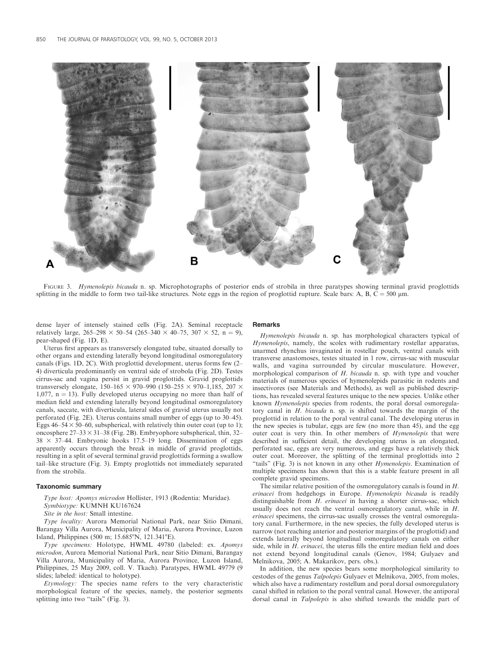

FIGURE 3. Hymenolepis bicauda n. sp. Microphotographs of posterior ends of strobila in three paratypes showing terminal gravid proglottids splitting in the middle to form two tail-like structures. Note eggs in the region of proglottid rupture. Scale bars: A, B, C =  $500 \mu m$ .

dense layer of intensely stained cells (Fig. 2A). Seminal receptacle relatively large,  $265-298 \times 50-54$  (265–340  $\times$  40–75, 307  $\times$  52, n = 9), pear-shaped (Fig. 1D, E).

Remarks

Uterus first appears as transversely elongated tube, situated dorsally to other organs and extending laterally beyond longitudinal osmoregulatory canals (Figs. 1D, 2C). With proglottid development, uterus forms few (2– 4) diverticula predominantly on ventral side of strobola (Fig. 2D). Testes cirrus-sac and vagina persist in gravid proglottids. Gravid proglottids transversely elongate,  $150-165 \times 970-990$  (150–255  $\times$  970–1,185, 207  $\times$ 1,077,  $n = 13$ ). Fully developed uterus occupying no more than half of median field and extending laterally beyond longitudinal osmoregulatory canals, saccate, with diverticula, lateral sides of gravid uterus usually not perforated (Fig. 2E). Uterus contains small number of eggs (up to 30–45). Eggs  $46-54 \times 50-60$ , subspherical, with relatively thin outer coat (up to 1); oncosphere  $27-33 \times 31-38$  (Fig. 2B). Embryophore subspherical, thin, 32–  $38 \times 37-44$ . Embryonic hooks 17.5–19 long. Dissemination of eggs apparently occurs through the break in middle of gravid proglottids, resulting in a split of several terminal gravid proglottids forming a swallow tail–like structure (Fig. 3). Empty proglottids not immediately separated from the strobila.

### Taxonomic summary

Type host: Apomys microdon Hollister, 1913 (Rodentia: Muridae). Symbiotype: KUMNH KU167624

Site in the host: Small intestine.

Type locality: Aurora Memorial National Park, near Sitio Dimani, Barangay Villa Aurora, Municipality of Maria, Aurora Province, Luzon Island, Philippines (500 m; 15.685°N, 121.341°E).

Type specimens: Holotype, HWML 49780 (labeled: ex. Apomys microdon, Aurora Memorial National Park, near Sitio Dimani, Barangay Villa Aurora, Municipality of Maria, Aurora Province, Luzon Island, Philippines, 25 May 2009, coll. V. Tkach). Paratypes, HWML 49779 (9 slides; labeled: identical to holotype).

Etymology: The species name refers to the very characteristic morphological feature of the species, namely, the posterior segments splitting into two "tails" (Fig. 3).

Hymenolepis bicauda n. sp. has morphological characters typical of Hymenolepis, namely, the scolex with rudimentary rostellar apparatus, unarmed rhynchus invaginated in rostellar pouch, ventral canals with transverse anastomoses, testes situated in 1 row, cirrus-sac with muscular walls, and vagina surrounded by circular musculature. However, morphological comparison of H. bicauda n. sp. with type and voucher materials of numerous species of hymenolepids parasitic in rodents and insectivores (see Materials and Methods), as well as published descriptions, has revealed several features unique to the new species. Unlike other known Hymenolepis species from rodents, the poral dorsal osmoregulatory canal in H. bicauda n. sp. is shifted towards the margin of the proglottid in relation to the poral ventral canal. The developing uterus in the new species is tubular, eggs are few (no more than 45), and the egg outer coat is very thin. In other members of Hymenolepis that were described in sufficient detail, the developing uterus is an elongated, perforated sac, eggs are very numerous, and eggs have a relatively thick outer coat. Moreover, the splitting of the terminal proglottids into 2 "tails" (Fig. 3) is not known in any other Hymenolepis. Examination of multiple specimens has shown that this is a stable feature present in all complete gravid specimens.

The similar relative position of the osmoregulatory canals is found in H. erinacei from hedgehogs in Europe. Hymenolepis bicauda is readily distinguishable from H. erinacei in having a shorter cirrus-sac, which usually does not reach the ventral osmoregulatory canal, while in H. erinacei specimens, the cirrus-sac usually crosses the ventral osmoregulatory canal. Furthermore, in the new species, the fully developed uterus is narrow (not reaching anterior and posterior margins of the proglottid) and extends laterally beyond longitudinal osmoregulatory canals on either side, while in  $H$ . erinacei, the uterus fills the entire median field and does not extend beyond longitudinal canals (Genov, 1984; Gulyaev and Melnikova, 2005; A. Makarikov, pers. obs.).

In addition, the new species bears some morphological similarity to cestodes of the genus Talpolepis Gulyaev et Melnikova, 2005, from moles, which also have a rudimentary rostellum and poral dorsal osmoregulatory canal shifted in relation to the poral ventral canal. However, the antiporal dorsal canal in Talpolepis is also shifted towards the middle part of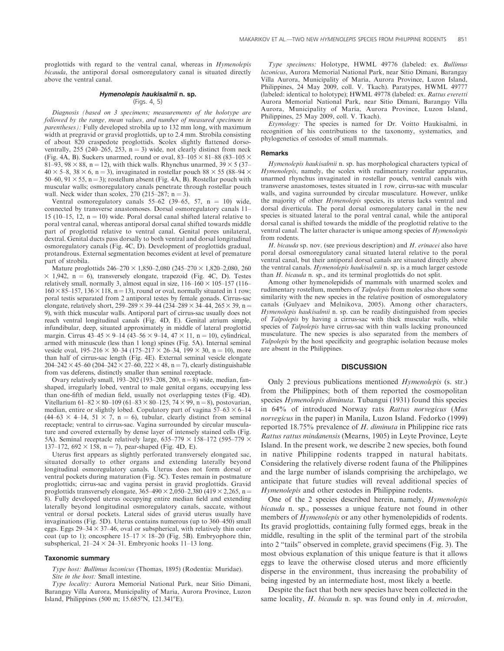proglottids with regard to the ventral canal, whereas in Hymenolepis bicauda, the antiporal dorsal osmoregulatory canal is situated directly above the ventral canal.

## Hymenolepis haukisalmii n. sp. (Figs. 4, 5)

Diagnosis (based on 3 specimens; measurements of the holotype are followed by the range, mean values, and number of measured specimens in parentheses): Fully developed strobila up to 132 mm long, with maximum width at pregravid or gravid proglottids, up to 2.4 mm. Strobila consisting of about 820 craspedote proglottids. Scolex slightly flattened dorsoventrally, 255 (240–265, 253,  $n = 3$ ) wide, not clearly distinct from neck (Fig. 4A, B). Suckers unarmed, round or oval,  $83-105 \times 81-88$  (83-105  $\times$ 81–93, 98  $\times$  88, n = 12), with thick walls. Rhynchus unarmed, 39  $\times$  5 (37–  $40 \times 5-8$ ,  $38 \times 6$ , n = 3), invaginated in rostellar pouch  $88 \times 55$  (88–94  $\times$ 50–60, 91  $\times$  55, n = 3); rostellum absent (Fig. 4A, B). Rostellar pouch with muscular walls; osmoregulatory canals penetrate through rostellar pouch wall. Neck wider than scolex,  $270$  ( $215-287$ ; n = 3).

Ventral osmoregulatory canals  $55-62$  (39-65, 57, n = 10) wide, connected by transverse anastomoses. Dorsal osmoregulatory canals 11– 15 (10-15, 12,  $n = 10$ ) wide. Poral dorsal canal shifted lateral relative to poral ventral canal, whereas antiporal dorsal canal shifted towards middle part of proglottid relative to ventral canal. Genital pores unilateral, dextral. Genital ducts pass dorsally to both ventral and dorsal longitudinal osmoregulatory canals (Fig. 4C, D). Development of proglottids gradual, protandrous. External segmentation becomes evident at level of premature part of strobila.

Mature proglottids  $246-270 \times 1,850-2,080$  ( $245-270 \times 1,820-2,080, 260$ )  $\times$  1,942, n = 6), transversely elongate, trapezoid (Fig. 4C, D). Testes relatively small, normally 3, almost equal in size,  $116-160 \times 105-157$  (116–  $160 \times 85$ –157, 136  $\times$  118, n = 13), round or oval, normally situated in 1 row; poral testis separated from 2 antiporal testes by female gonads. Cirrus-sac elongate, relatively short,  $259-289 \times 39-44 (234-289 \times 34-44, 265 \times 39, n =$ 9), with thick muscular walls. Antiporal part of cirrus-sac usually does not reach ventral longitudinal canals (Fig. 4D, E). Genital atrium simple, infundibular, deep, situated approximately in middle of lateral proglottid margin. Cirrus  $43-45 \times 9-14$  ( $43-56 \times 9-14$ ,  $47 \times 11$ , n = 10), cylindrical, armed with minuscule (less than 1 long) spines (Fig. 5A). Internal seminal vesicle oval,  $195-216 \times 30-34$  ( $175-217 \times 26-34$ ,  $199 \times 30$ , n = 10), more than half of cirrus-sac length (Fig. 4E). External seminal vesicle elongate 204–242  $\times$  45–60 (204–242  $\times$  27–60, 222  $\times$  48, n = 7), clearly distinguishable from vas deferens, distinctly smaller than seminal receptacle.

Ovary relatively small, 193–202 (193–208, 200,  $n = 8$ ) wide, median, fanshaped, irregularly lobed, ventral to male genital organs, occupying less than one-fifth of median field, usually not overlapping testes (Fig. 4D). Vitellarium 61–82  $\times$  80–109 (61–83  $\times$  80–125, 74  $\times$  99, n = 8), postovarian, median, entire or slightly lobed. Copulatory part of vagina  $57-63 \times 6-14$  $(44–63 \times 4–14, 51 \times 7, n = 6)$ , tubular, clearly distinct from seminal receptacle; ventral to cirrus-sac. Vagina surrounded by circular musculature and covered externally by dense layer of intensely stained cells (Fig. 5A). Seminal receptacle relatively large,  $635-779 \times 158-172$  (595–779  $\times$ 137–172, 692  $\times$  158, n = 7), pear-shaped (Fig. 4D, E).

Uterus first appears as slightly perforated transversely elongated sac, situated dorsally to other organs and extending laterally beyond longitudinal osmoregulatory canals. Uterus does not form dorsal or ventral pockets during maturation (Fig. 5C). Testes remain in postmature proglottids; cirrus-sac and vagina persist in gravid proglottids. Gravid proglottids transversely elongate,  $365-490 \times 2,050-2,380$  (419  $\times$  2,265, n = 8). Fully developed uterus occupying entire median field and extending laterally beyond longitudinal osmoregulatory canals, saccate, without ventral or dorsal pockets. Lateral sides of gravid uterus usually have invaginations (Fig. 5D). Uterus contains numerous (up to 360–450) small eggs. Eggs  $29-34 \times 37-46$ , oval or subspherical, with relatively thin outer coat (up to 1); oncosphere  $15-17 \times 18-20$  (Fig. 5B). Embryophore thin, subspherical,  $21-24 \times 24-31$ . Embryonic hooks 11-13 long.

#### Taxonomic summary

Type host: Bullimus luzonicus (Thomas, 1895) (Rodentia: Muridae). Site in the host: Small intestine.

Type locality: Aurora Memorial National Park, near Sitio Dimani, Barangay Villa Aurora, Municipality of Maria, Aurora Province, Luzon Island, Philippines (500 m;  $15.685^{\circ}$ N,  $121.341^{\circ}$ E).

Type specimens: Holotype, HWML 49776 (labeled: ex. Bullimus luzonicus, Aurora Memorial National Park, near Sitio Dimani, Barangay Villa Aurora, Municipality of Maria, Aurora Province, Luzon Island, Philippines, 24 May 2009, coll. V. Tkach). Paratypes, HWML 49777 (labeled: identical to holotype); HWML 49778 (labeled: ex. Rattus everetti Aurora Memorial National Park, near Sitio Dimani, Barangay Villa Aurora, Municipality of Maria, Aurora Province, Luzon Island, Philippines, 25 May 2009, coll. V. Tkach).

Etymology: The species is named for Dr. Voitto Haukisalmi, in recognition of his contributions to the taxonomy, systematics, and phylogenetics of cestodes of small mammals.

#### Remarks

Hymenolepis haukisalmii n. sp. has morphological characters typical of Hymenolepis, namely, the scolex with rudimentary rostellar apparatus, unarmed rhynchus invaginated in rostellar pouch, ventral canals with transverse anastomoses, testes situated in 1 row, cirrus-sac with muscular walls, and vagina surrounded by circular musculature. However, unlike the majority of other Hymenolepis species, its uterus lacks ventral and dorsal diverticula. The poral dorsal osmoregulatory canal in the new species is situated lateral to the poral ventral canal, while the antiporal dorsal canal is shifted towards the middle of the proglottid relative to the ventral canal. The latter character is unique among species of *Hymenolepis* from rodents.

 $H.$  bicauda sp. nov. (see previous description) and  $H.$  erinacei also have poral dorsal osmoregulatory canal situated lateral relative to the poral ventral canal, but their antiporal dorsal canals are situated directly above the ventral canals. Hymenolepis haukisalmii n. sp. is a much larger cestode than H. bicauda n. sp., and its terminal proglottids do not split.

Among other hymenolepidids of mammals with unarmed scolex and rudimentary rostellum, members of Talpolepis from moles also show some similarity with the new species in the relative position of osmoregulatory canals (Gulyaev and Melnikova, 2005). Among other characters, Hymenolepis haukisalmii n. sp. can be readily distinguished from species of Talpolepis by having a cirrus-sac with thick muscular walls, while species of Talpolepis have cirrus-sac with thin walls lacking pronounced musculature. The new species is also separated from the members of Talpolepis by the host specificity and geographic isolation because moles are absent in the Philippines.

## **DISCUSSION**

Only 2 previous publications mentioned Hymenolepis (s. str.) from the Philippines; both of them reported the cosmopolitan species Hymenolepis diminuta. Tubangui (1931) found this species in 64% of introduced Norway rats Rattus norvegicus (Mus norvegicus in the paper) in Manila, Luzon Island. Fedorko (1999) reported 18.75% prevalence of H. diminuta in Philippine rice rats Rattus rattus mindanensis (Mearns, 1905) in Leyte Province, Leyte Island. In the present work, we describe 2 new species, both found in native Philippine rodents trapped in natural habitats. Considering the relatively diverse rodent fauna of the Philippines and the large number of islands comprising the archipelago, we anticipate that future studies will reveal additional species of Hymenolepis and other cestodes in Philippine rodents.

One of the 2 species described herein, namely, Hymenolepis bicauda n. sp., possesses a unique feature not found in other members of Hymenolepis or any other hymenolepidids of rodents. Its gravid proglottids, containing fully formed eggs, break in the middle, resulting in the split of the terminal part of the strobila into 2 ''tails'' observed in complete, gravid specimens (Fig. 3). The most obvious explanation of this unique feature is that it allows eggs to leave the otherwise closed uterus and more efficiently disperse in the environment, thus increasing the probability of being ingested by an intermediate host, most likely a beetle.

Despite the fact that both new species have been collected in the same locality, H. bicauda n. sp. was found only in A. microdon,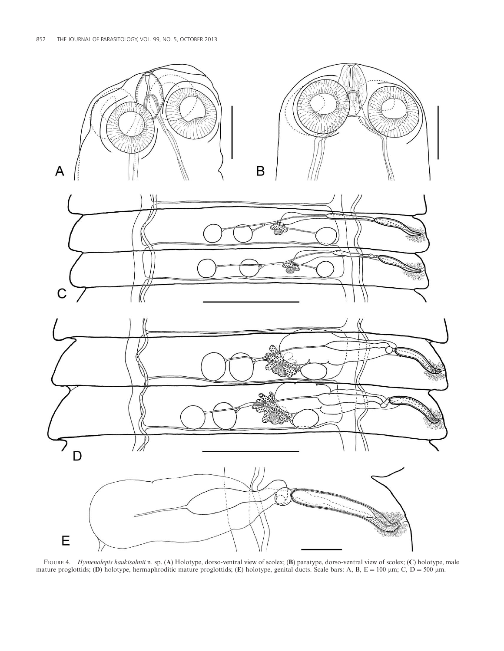

FIGURE 4. Hymenolepis haukisalmii n. sp. (A) Holotype, dorso-ventral view of scolex; (B) paratype, dorso-ventral view of scolex; (C) holotype, male mature proglottids; (D) holotype, hermaphroditic mature proglottids; (E) holotype, genital ducts. Scale bars: A, B,  $E = 100 \mu m$ ; C, D = 500  $\mu m$ .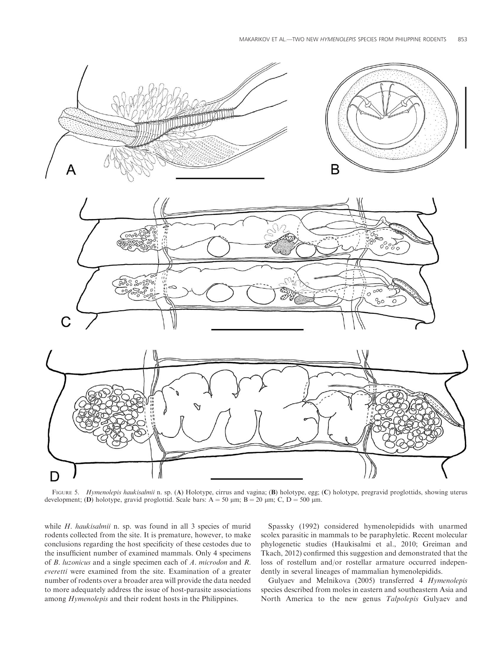

FIGURE 5. Hymenolepis haukisalmii n. sp. (A) Holotype, cirrus and vagina; (B) holotype, egg; (C) holotype, pregravid proglottids, showing uterus development; (D) holotype, gravid proglottid. Scale bars:  $A = 50 \mu m$ ;  $B = 20 \mu m$ ; C, D = 500  $\mu m$ .

while *H. haukisalmii* n. sp. was found in all 3 species of murid rodents collected from the site. It is premature, however, to make conclusions regarding the host specificity of these cestodes due to the insufficient number of examined mammals. Only 4 specimens of B. luzonicus and a single specimen each of A. microdon and R. everetti were examined from the site. Examination of a greater number of rodents over a broader area will provide the data needed to more adequately address the issue of host-parasite associations among Hymenolepis and their rodent hosts in the Philippines.

Spassky (1992) considered hymenolepidids with unarmed scolex parasitic in mammals to be paraphyletic. Recent molecular phylogenetic studies (Haukisalmi et al., 2010; Greiman and Tkach, 2012) confirmed this suggestion and demonstrated that the loss of rostellum and/or rostellar armature occurred independently in several lineages of mammalian hymenolepidids.

Gulyaev and Melnikova (2005) transferred 4 Hymenolepis species described from moles in eastern and southeastern Asia and North America to the new genus Talpolepis Gulyaev and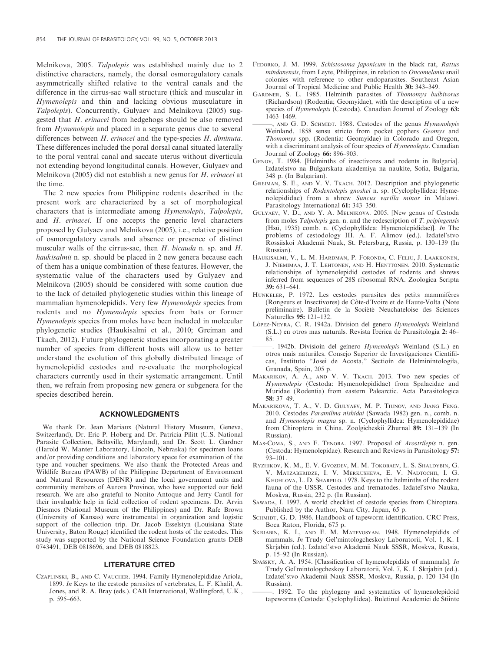Melnikova, 2005. Talpolepis was established mainly due to 2 distinctive characters, namely, the dorsal osmoregulatory canals asymmetrically shifted relative to the ventral canals and the difference in the cirrus-sac wall structure (thick and muscular in Hymenolepis and thin and lacking obvious musculature in Talpolepis). Concurrently, Gulyaev and Melnikova (2005) suggested that H. erinacei from hedgehogs should be also removed from Hymenolepis and placed in a separate genus due to several differences between *H. erinacei* and the type-species *H. diminuta.* These differences included the poral dorsal canal situated laterally to the poral ventral canal and saccate uterus without diverticula not extending beyond longitudinal canals. However, Gulyaev and Melnikova (2005) did not establish a new genus for H. erinacei at the time.

The 2 new species from Philippine rodents described in the present work are characterized by a set of morphological characters that is intermediate among Hymenolepis, Talpolepis, and H. erinacei. If one accepts the generic level characters proposed by Gulyaev and Melnikova (2005), i.e., relative position of osmoregulatory canals and absence or presence of distinct muscular walls of the cirrus-sac, then H. bicauda n. sp. and H. haukisalmii n. sp. should be placed in 2 new genera because each of them has a unique combination of these features. However, the systematic value of the characters used by Gulyaev and Melnikova (2005) should be considered with some caution due to the lack of detailed phylogenetic studies within this lineage of mammalian hymenolepidids. Very few Hymenolepis species from rodents and no Hymenolepis species from bats or former Hymenolepis species from moles have been included in molecular phylogenetic studies (Haukisalmi et al., 2010; Greiman and Tkach, 2012). Future phylogenetic studies incorporating a greater number of species from different hosts will allow us to better understand the evolution of this globally distributed lineage of hymenolepidid cestodes and re-evaluate the morphological characters currently used in their systematic arrangement. Until then, we refrain from proposing new genera or subgenera for the species described herein.

#### ACKNOWLEDGMENTS

We thank Dr. Jean Mariaux (Natural History Museum, Geneva, Switzerland), Dr. Eric P. Hoberg and Dr. Patricia Pilitt (U.S. National Parasite Collection, Beltsville, Maryland), and Dr. Scott L. Gardner (Harold W. Manter Laboratory, Lincoln, Nebraska) for specimen loans and/or providing conditions and laboratory space for examination of the type and voucher specimens. We also thank the Protected Areas and Wildlife Bureau (PAWB) of the Philippine Department of Environment and Natural Resources (DENR) and the local government units and community members of Aurora Province, who have supported our field research. We are also grateful to Nonito Antoque and Jerry Cantil for their invaluable help in field collection of rodent specimens. Dr. Arvin Diesmos (National Museum of the Philippines) and Dr. Rafe Brown (University of Kansas) were instrumental in organization and logistic support of the collection trip. Dr. Jacob Esselstyn (Louisiana State University, Baton Rouge) identified the rodent hosts of the cestodes. This study was supported by the National Science Foundation grants DEB 0743491, DEB 0818696, and DEB 0818823.

### LITERATURE CITED

CZAPLINSKI, B., AND C. VAUCHER. 1994. Family Hymenolepididae Ariola, 1899. In Keys to the cestode parasites of vertebrates, L. F. Khalil, A. Jones, and R. A. Bray (eds.). CAB International, Wallingford, U.K., p. 595–663.

- FEDORKO, J. M. 1999. Schistosoma japonicum in the black rat, Rattus mindanensis, from Leyte, Philippines, in relation to Oncomelania snail colonies with reference to other endoparasites. Southeast Asian Journal of Tropical Medicine and Public Health 30: 343–349.
- GARDNER, S. L. 1985. Helminth parasites of Thomomys bulbivorus (Richardson) (Rodentia; Geomyidae), with the description of a new species of Hymenolepis (Cestoda). Canadian Journal of Zoology 63: 1463–1469.
- -, AND G. D. SCHMIDT. 1988. Cestodes of the genus *Hymenolepis* Weinland, 1858 sensu stricto from pocket gophers Geomys and Thomomys spp. (Rodentia: Geomyidae) in Colorado and Oregon, with a discriminant analysis of four species of *Hymenolepis*. Canadian Journal of Zoology 66: 896–903.
- GENOV, T. 1984. [Helminths of insectivores and rodents in Bulgaria]. Izdatelstvo na Bulgarskata akademiya na naukite, Sofia, Bulgaria, 348 p. (In Bulgarian).
- GREIMAN, S. E., AND V. V. TKACH. 2012. Description and phylogenetic relationships of Rodentolepis gnoskei n. sp. (Cyclophyllidea: Hymenolepididae) from a shrew Suncus varilla minor in Malawi. Parasitology International 61: 343–350.
- GULYAEV, V. D., AND Y. A. MELNIKOVA. 2005. [New genus of Cestoda from moles Talpolepis gen. n. and the redescription of T. peipingensis (Hsü, 1935) comb. n. (Cyclophyllidea: Hymenolepididae)]. In The problems of cestodology III. A. F. Alimov (ed.). Izdatel'stvo Rossiiskoi Akademii Nauk, St. Petersburg, Russia, p. 130–139 (In Russian).
- HAUKISALMI, V., L. M. HARDMAN, P. FORONDA, C. FELIU, J. LAAKKONEN, J. NIEMIMAA, J. T. LEHTONEN, AND H. HENTTONEN. 2010. Systematic relationships of hymenolepidid cestodes of rodents and shrews inferred from sequences of 28S ribosomal RNA. Zoologica Scripta 39: 631–641.
- HUNKELER, P. 1972. Les cestodes parasites des petits mammifères (Rongeurs et Insectivores) de Côte-d'Ivoire et de Haute-Volta (Note préliminaire). Bulletin de la Société Neuchateloise des Sciences Naturelles 95: 121–132.
- LÓPEZ-NEYRA, C. R. 1942a. Division del genero Hymenolepis Weinland (S.L.) en otros mas naturals. Revista Ibérica de Parasitología 2: 46– 85.
- 1942b. Divisioin del geinero Hymenolepis Weinland (S.L.) en otros mais naturales. Consejo Superior de Investigaciones Cientifiicas, Instituto "Joseì de Acosta," Sectioin de Helminintologiia, Granada, Spain, 205 p.
- MAKARIKOV, A. A., AND V. V. TKACH. 2013. Two new species of Hymenolepis (Cestoda: Hymenolepididae) from Spalacidae and Muridae (Rodentia) from eastern Palearctic. Acta Parasitologica 58: 37–49.
- MAKARIKOVA, T. A., V. D. GULYAEV, M. P. TIUNOV, AND JIANG FENG. 2010. Cestodes Paramilina nishidai (Sawada 1982) gen. n., comb. n. and Hymenolepis magna sp. n. (Cyclophyllidea: Hymenolepididae) from Chiroptera in China. Zoolgicheskii Zhurnal 89: 131–139 (In Russian).
- MAS-COMA, S., AND F. TENORA. 1997. Proposal of Arostrilepis n. gen. (Cestoda: Hymenolepidae). Research and Reviews in Parasitology 57: 93–101.
- RYZHIKOV, K. M., E. V. GVOZDEV, M. M. TOKOBAEV, L. S. SHALDYBIN, G. V. MATZABERIDZE, I. V. MERKUSHEVA, E. V. NADTOCHII, I. G. KHOHLOVA, L. D. SHARPILO. 1978. Keys to the helminths of the rodent fauna of the USSR. Cestodes and trematodes. Izdatel'stvo Nauka, Moskva, Russia, 232 p. (In Russian).
- SAWADA, I. 1997. A world checklist of cestode species from Chiroptera. Published by the Author, Nara City, Japan, 65 p.
- SCHMIDT, G. D. 1986. Handbook of tapeworm identification. CRC Press, Boca Raton, Florida, 675 p.
- SKRJABIN, K. I., AND E. M. MATEVOSYAN. 1948. Hymenolepidids of mammals. In Trudy Gel'mintologcheskoy Laboratorii, Vol. 1, K. I Skrjabin (ed.). Izdatel'stvo Akademii Nauk SSSR, Moskva, Russia, p. 15–92 (In Russian).
- SPASSKY, A. A. 1954. [Classification of hymenolepidids of mammals]. In Trudy Gel'mintologcheskoy Laboratorii, Vol. 7, K. I. Skrjabin (ed.). Izdatel'stvo Akademii Nauk SSSR, Moskva, Russia, p. 120–134 (In Russian).
	- ———. 1992. To the phylogeny and systematics of hymenolepidoid tapeworms (Cestoda: Cyclophyllidea). Buletinul Academiei de Stiinte